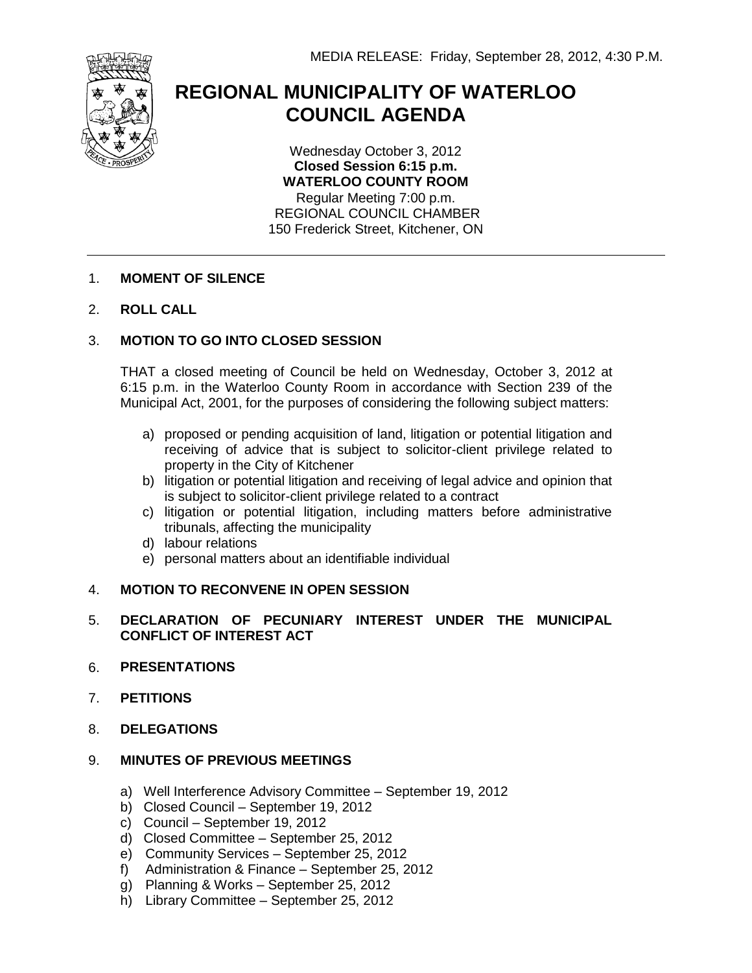

# **REGIONAL MUNICIPALITY OF WATERLOO COUNCIL AGENDA**

Wednesday October 3, 2012 **Closed Session 6:15 p.m. WATERLOO COUNTY ROOM** Regular Meeting 7:00 p.m. REGIONAL COUNCIL CHAMBER

150 Frederick Street, Kitchener, ON

## 1. **MOMENT OF SILENCE**

2. **ROLL CALL**

## 3. **MOTION TO GO INTO CLOSED SESSION**

THAT a closed meeting of Council be held on Wednesday, October 3, 2012 at 6:15 p.m. in the Waterloo County Room in accordance with Section 239 of the Municipal Act, 2001, for the purposes of considering the following subject matters:

- a) proposed or pending acquisition of land, litigation or potential litigation and receiving of advice that is subject to solicitor-client privilege related to property in the City of Kitchener
- b) litigation or potential litigation and receiving of legal advice and opinion that is subject to solicitor-client privilege related to a contract
- c) litigation or potential litigation, including matters before administrative tribunals, affecting the municipality
- d) labour relations
- e) personal matters about an identifiable individual

## 4. **MOTION TO RECONVENE IN OPEN SESSION**

## 5. **DECLARATION OF PECUNIARY INTEREST UNDER THE MUNICIPAL CONFLICT OF INTEREST ACT**

- 6. **PRESENTATIONS**
- 7. **PETITIONS**
- 8. **DELEGATIONS**

## 9. **MINUTES OF PREVIOUS MEETINGS**

- a) Well Interference Advisory Committee September 19, 2012
- b) Closed Council September 19, 2012
- c) Council September 19, 2012
- d) Closed Committee September 25, 2012
- e) Community Services September 25, 2012
- f) Administration & Finance September 25, 2012
- g) Planning & Works September 25, 2012
- h) Library Committee September 25, 2012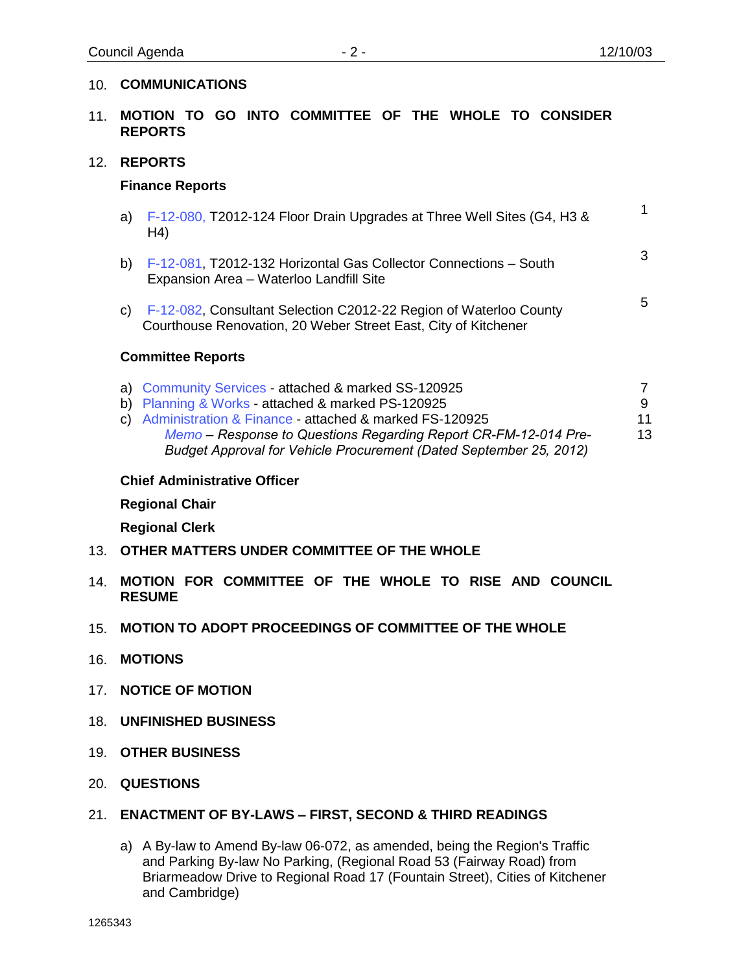#### 10. **COMMUNICATIONS**

- 11. **MOTION TO GO INTO COMMITTEE OF THE WHOLE TO CONSIDER REPORTS**
- 12. **REPORTS**

#### **Finance Reports**

| a) $F-12-080$ , T2012-124 Floor Drain Upgrades at Three Well Sites (G4, H3 &<br>H4)                            |   |
|----------------------------------------------------------------------------------------------------------------|---|
| b) F-12-081, T2012-132 Horizontal Gas Collector Connections - South<br>Expansion Area - Waterloo Landfill Site | 3 |
| $\sim$ $\sim$ E-12-082. Consultant Selection C2012-22 Region of Waterloo County                                | 5 |

c) [F-12-082,](#page-7-0) Consultant Selection C2012-22 Region of Waterloo County Courthouse Renovation, 20 Weber Street East, City of Kitchener

#### **Committee Reports**

| a) Community Services - attached & marked SS-120925                |    |
|--------------------------------------------------------------------|----|
| b) Planning & Works - attached & marked PS-120925                  | 9  |
| c) Administration & Finance - attached & marked FS-120925          | 11 |
| Memo – Response to Questions Regarding Report CR-FM-12-014 Pre-    | 13 |
| Budget Approval for Vehicle Procurement (Dated September 25, 2012) |    |

#### **Chief Administrative Officer**

**Regional Chair**

**Regional Clerk**

- 13. **OTHER MATTERS UNDER COMMITTEE OF THE WHOLE**
- 14. **MOTION FOR COMMITTEE OF THE WHOLE TO RISE AND COUNCIL RESUME**
- 15. **MOTION TO ADOPT PROCEEDINGS OF COMMITTEE OF THE WHOLE**
- 16. **MOTIONS**
- 17. **NOTICE OF MOTION**
- 18. **UNFINISHED BUSINESS**
- 19. **OTHER BUSINESS**
- 20. **QUESTIONS**

## 21. **ENACTMENT OF BY-LAWS – FIRST, SECOND & THIRD READINGS**

a) A By-law to Amend By-law 06-072, as amended, being the Region's Traffic and Parking By-law No Parking, (Regional Road 53 (Fairway Road) from Briarmeadow Drive to Regional Road 17 (Fountain Street), Cities of Kitchener and Cambridge)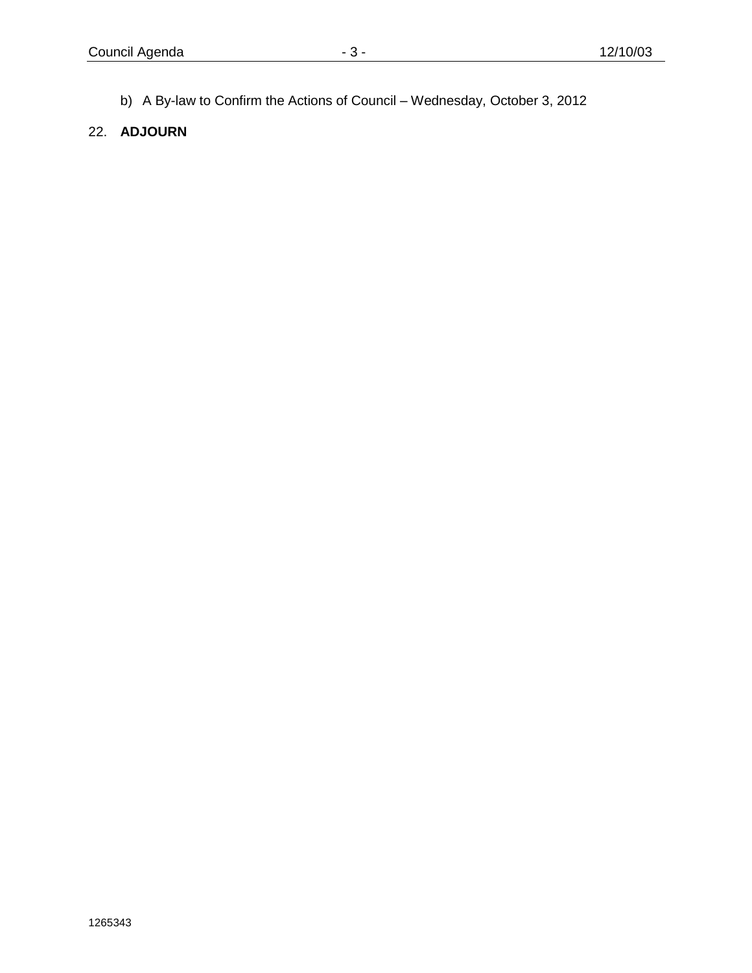b) A By-law to Confirm the Actions of Council – Wednesday, October 3, 2012

## 22. **ADJOURN**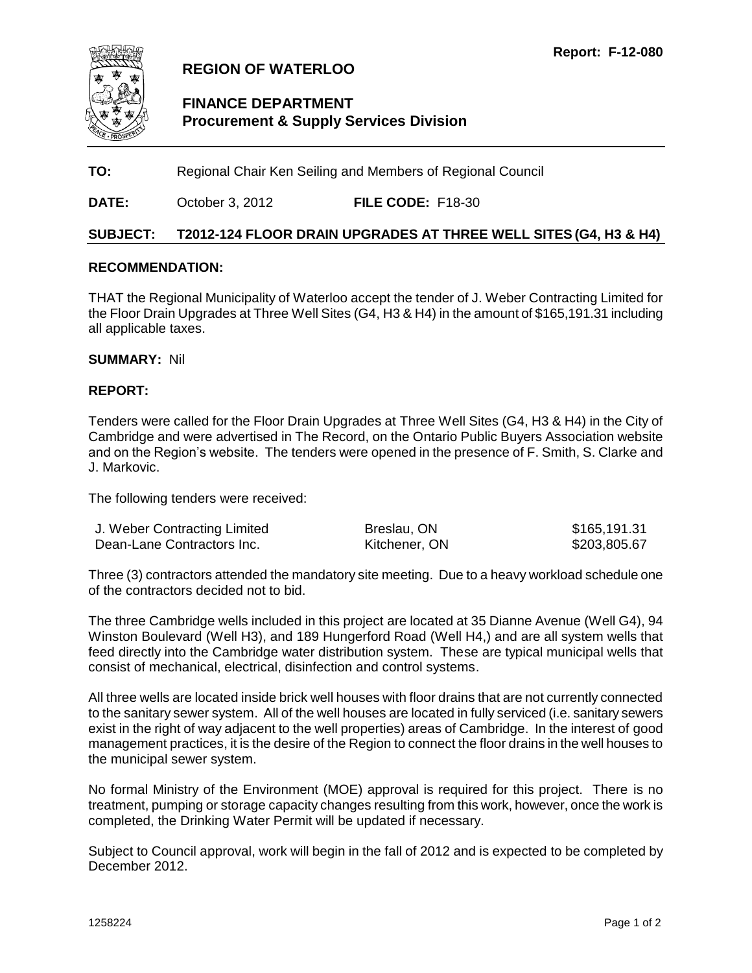<span id="page-3-0"></span>

## **REGION OF WATERLOO**

## **FINANCE DEPARTMENT Procurement & Supply Services Division**

**TO:** Regional Chair Ken Seiling and Members of Regional Council

**DATE:** October 3, 2012 **FILE CODE:** F18-30

#### **SUBJECT: T2012-124 FLOOR DRAIN UPGRADES AT THREE WELL SITES (G4, H3 & H4)**

#### **RECOMMENDATION:**

THAT the Regional Municipality of Waterloo accept the tender of J. Weber Contracting Limited for the Floor Drain Upgrades at Three Well Sites (G4, H3 & H4) in the amount of \$165,191.31 including all applicable taxes.

#### **SUMMARY:** Nil

#### **REPORT:**

Tenders were called for the Floor Drain Upgrades at Three Well Sites (G4, H3 & H4) in the City of Cambridge and were advertised in The Record, on the Ontario Public Buyers Association website and on the Region's website. The tenders were opened in the presence of F. Smith, S. Clarke and J. Markovic.

The following tenders were received:

| J. Weber Contracting Limited | Breslau, ON   | \$165,191.31 |
|------------------------------|---------------|--------------|
| Dean-Lane Contractors Inc.   | Kitchener, ON | \$203,805.67 |

Three (3) contractors attended the mandatory site meeting. Due to a heavy workload schedule one of the contractors decided not to bid.

The three Cambridge wells included in this project are located at 35 Dianne Avenue (Well G4), 94 Winston Boulevard (Well H3), and 189 Hungerford Road (Well H4,) and are all system wells that feed directly into the Cambridge water distribution system. These are typical municipal wells that consist of mechanical, electrical, disinfection and control systems.

All three wells are located inside brick well houses with floor drains that are not currently connected to the sanitary sewer system. All of the well houses are located in fully serviced (i.e. sanitary sewers exist in the right of way adjacent to the well properties) areas of Cambridge. In the interest of good management practices, it is the desire of the Region to connect the floor drains in the well houses to the municipal sewer system.

No formal Ministry of the Environment (MOE) approval is required for this project. There is no treatment, pumping or storage capacity changes resulting from this work, however, once the work is completed, the Drinking Water Permit will be updated if necessary.

Subject to Council approval, work will begin in the fall of 2012 and is expected to be completed by December 2012.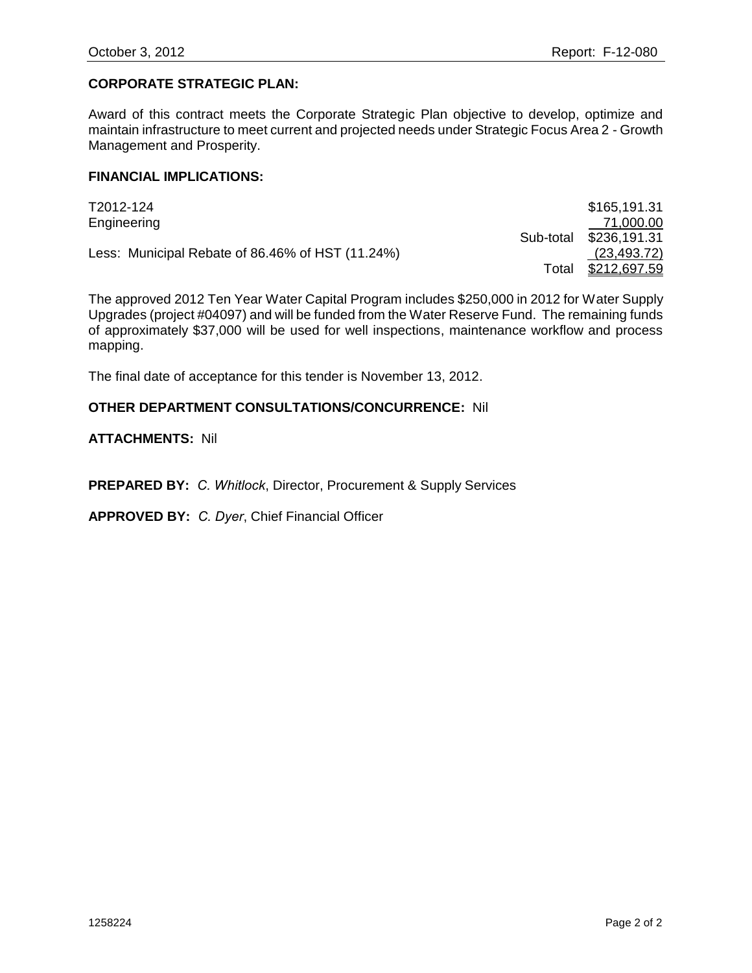## **CORPORATE STRATEGIC PLAN:**

Award of this contract meets the Corporate Strategic Plan objective to develop, optimize and maintain infrastructure to meet current and projected needs under Strategic Focus Area 2 - Growth Management and Prosperity.

#### **FINANCIAL IMPLICATIONS:**

| T2012-124                                        |           | \$165,191.31        |
|--------------------------------------------------|-----------|---------------------|
| Engineering                                      |           | 71,000.00           |
|                                                  | Sub-total | \$236,191.31        |
| Less: Municipal Rebate of 86.46% of HST (11.24%) |           | (23, 493.72)        |
|                                                  | Total     | <u>\$212,697.59</u> |

The approved 2012 Ten Year Water Capital Program includes \$250,000 in 2012 for Water Supply Upgrades (project #04097) and will be funded from the Water Reserve Fund. The remaining funds of approximately \$37,000 will be used for well inspections, maintenance workflow and process mapping.

The final date of acceptance for this tender is November 13, 2012.

#### **OTHER DEPARTMENT CONSULTATIONS/CONCURRENCE:** Nil

**ATTACHMENTS:** Nil

**PREPARED BY:** *C. Whitlock*, Director, Procurement & Supply Services

**APPROVED BY:** *C. Dyer*, Chief Financial Officer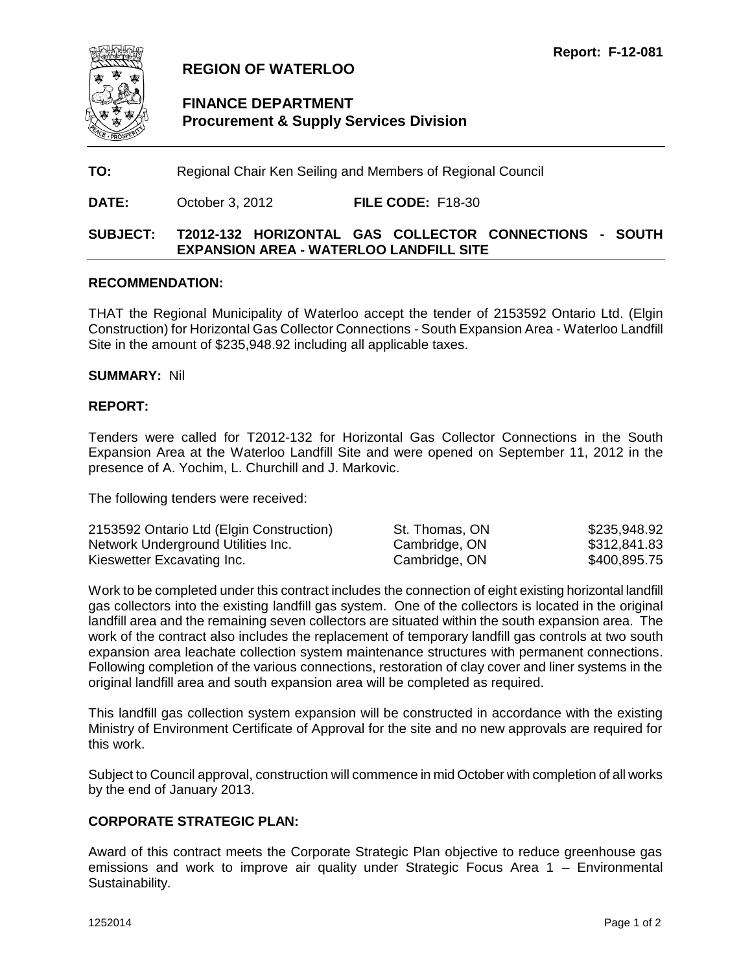<span id="page-5-0"></span>

## **REGION OF WATERLOO**

## **FINANCE DEPARTMENT Procurement & Supply Services Division**

**TO:** Regional Chair Ken Seiling and Members of Regional Council

**DATE:** October 3, 2012 **FILE CODE:** F18-30

## **SUBJECT: T2012-132 HORIZONTAL GAS COLLECTOR CONNECTIONS - SOUTH EXPANSION AREA - WATERLOO LANDFILL SITE**

#### **RECOMMENDATION:**

THAT the Regional Municipality of Waterloo accept the tender of 2153592 Ontario Ltd. (Elgin Construction) for Horizontal Gas Collector Connections - South Expansion Area - Waterloo Landfill Site in the amount of \$235,948.92 including all applicable taxes.

#### **SUMMARY:** Nil

#### **REPORT:**

Tenders were called for T2012-132 for Horizontal Gas Collector Connections in the South Expansion Area at the Waterloo Landfill Site and were opened on September 11, 2012 in the presence of A. Yochim, L. Churchill and J. Markovic.

The following tenders were received:

| 2153592 Ontario Ltd (Elgin Construction) | St. Thomas, ON | \$235,948.92 |
|------------------------------------------|----------------|--------------|
| Network Underground Utilities Inc.       | Cambridge, ON  | \$312,841.83 |
| Kieswetter Excavating Inc.               | Cambridge, ON  | \$400,895.75 |

Work to be completed under this contract includes the connection of eight existing horizontal landfill gas collectors into the existing landfill gas system. One of the collectors is located in the original landfill area and the remaining seven collectors are situated within the south expansion area. The work of the contract also includes the replacement of temporary landfill gas controls at two south expansion area leachate collection system maintenance structures with permanent connections. Following completion of the various connections, restoration of clay cover and liner systems in the original landfill area and south expansion area will be completed as required.

This landfill gas collection system expansion will be constructed in accordance with the existing Ministry of Environment Certificate of Approval for the site and no new approvals are required for this work.

Subject to Council approval, construction will commence in mid October with completion of all works by the end of January 2013.

#### **CORPORATE STRATEGIC PLAN:**

Award of this contract meets the Corporate Strategic Plan objective to reduce greenhouse gas emissions and work to improve air quality under Strategic Focus Area 1 – Environmental Sustainability.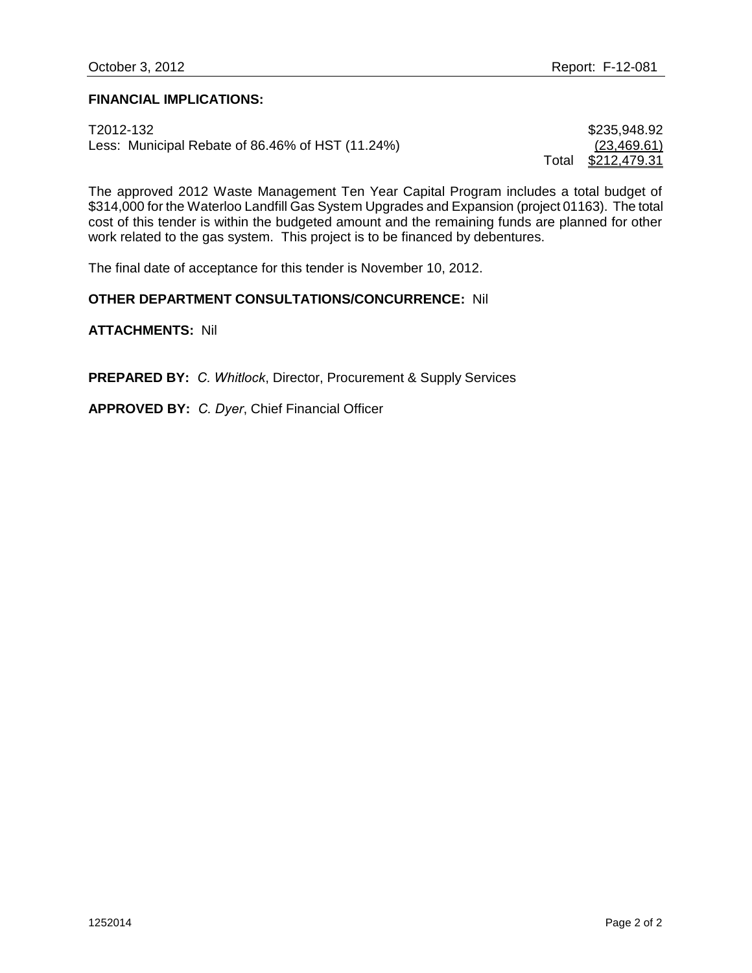#### **FINANCIAL IMPLICATIONS:**

T2012-132 \$235,948.92 Less: Municipal Rebate of 86.46% of HST (11.24%)  $(23,469.61)$ 

Total \$212,479.31

The approved 2012 Waste Management Ten Year Capital Program includes a total budget of \$314,000 for the Waterloo Landfill Gas System Upgrades and Expansion (project 01163). The total cost of this tender is within the budgeted amount and the remaining funds are planned for other work related to the gas system. This project is to be financed by debentures.

The final date of acceptance for this tender is November 10, 2012.

#### **OTHER DEPARTMENT CONSULTATIONS/CONCURRENCE:** Nil

**ATTACHMENTS:** Nil

**PREPARED BY:** *C. Whitlock*, Director, Procurement & Supply Services

**APPROVED BY:** *C. Dyer*, Chief Financial Officer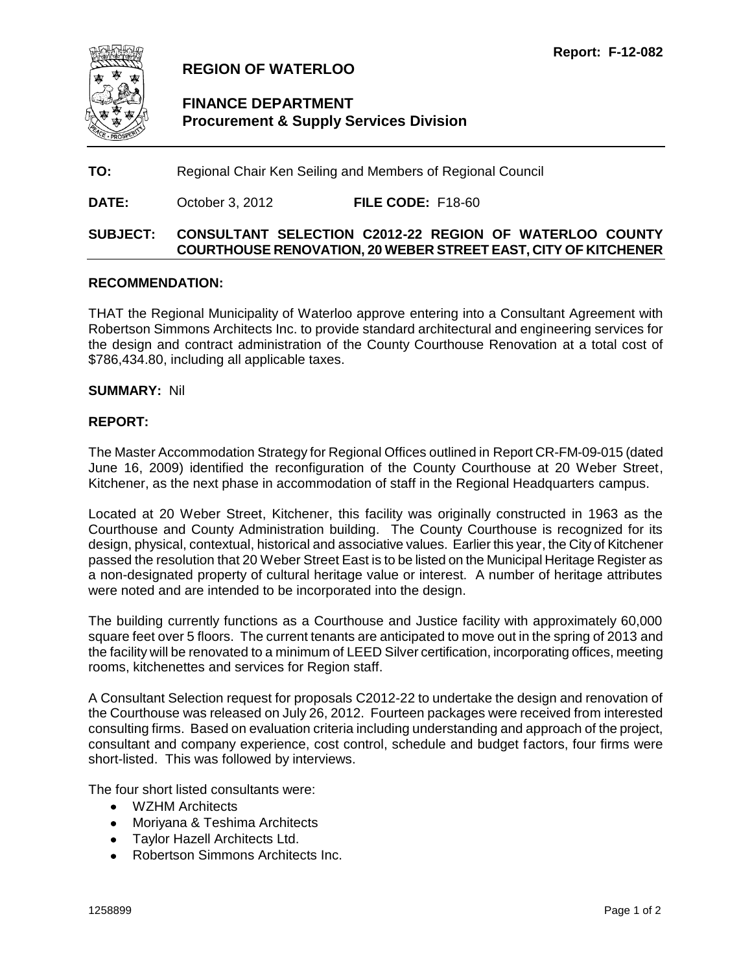<span id="page-7-0"></span>

## **REGION OF WATERLOO**

## **FINANCE DEPARTMENT Procurement & Supply Services Division**

**TO:** Regional Chair Ken Seiling and Members of Regional Council

**DATE:** October 3, 2012 **FILE CODE:** F18-60

## **SUBJECT: CONSULTANT SELECTION C2012-22 REGION OF WATERLOO COUNTY COURTHOUSE RENOVATION, 20 WEBER STREET EAST, CITY OF KITCHENER**

#### **RECOMMENDATION:**

THAT the Regional Municipality of Waterloo approve entering into a Consultant Agreement with Robertson Simmons Architects Inc. to provide standard architectural and engineering services for the design and contract administration of the County Courthouse Renovation at a total cost of \$786,434.80, including all applicable taxes.

#### **SUMMARY:** Nil

#### **REPORT:**

The Master Accommodation Strategy for Regional Offices outlined in Report CR-FM-09-015 (dated June 16, 2009) identified the reconfiguration of the County Courthouse at 20 Weber Street, Kitchener, as the next phase in accommodation of staff in the Regional Headquarters campus.

Located at 20 Weber Street, Kitchener, this facility was originally constructed in 1963 as the Courthouse and County Administration building. The County Courthouse is recognized for its design, physical, contextual, historical and associative values. Earlier this year, the City of Kitchener passed the resolution that 20 Weber Street East is to be listed on the Municipal Heritage Register as a non-designated property of cultural heritage value or interest. A number of heritage attributes were noted and are intended to be incorporated into the design.

The building currently functions as a Courthouse and Justice facility with approximately 60,000 square feet over 5 floors. The current tenants are anticipated to move out in the spring of 2013 and the facility will be renovated to a minimum of LEED Silver certification, incorporating offices, meeting rooms, kitchenettes and services for Region staff.

A Consultant Selection request for proposals C2012-22 to undertake the design and renovation of the Courthouse was released on July 26, 2012. Fourteen packages were received from interested consulting firms. Based on evaluation criteria including understanding and approach of the project, consultant and company experience, cost control, schedule and budget factors, four firms were short-listed. This was followed by interviews.

The four short listed consultants were:

- WZHM Architects
- Moriyana & Teshima Architects
- Taylor Hazell Architects Ltd.
- Robertson Simmons Architects Inc.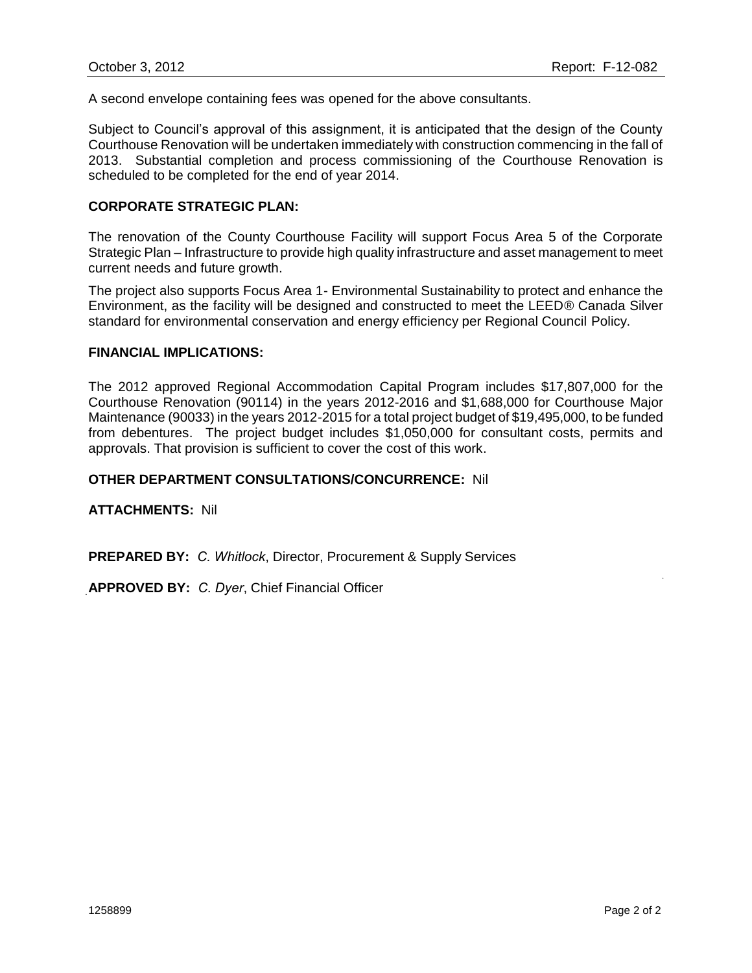A second envelope containing fees was opened for the above consultants.

Subject to Council's approval of this assignment, it is anticipated that the design of the County Courthouse Renovation will be undertaken immediately with construction commencing in the fall of 2013. Substantial completion and process commissioning of the Courthouse Renovation is scheduled to be completed for the end of year 2014.

#### **CORPORATE STRATEGIC PLAN:**

The renovation of the County Courthouse Facility will support Focus Area 5 of the Corporate Strategic Plan – Infrastructure to provide high quality infrastructure and asset management to meet current needs and future growth.

The project also supports Focus Area 1- Environmental Sustainability to protect and enhance the Environment, as the facility will be designed and constructed to meet the LEED® Canada Silver standard for environmental conservation and energy efficiency per Regional Council Policy.

#### **FINANCIAL IMPLICATIONS:**

The 2012 approved Regional Accommodation Capital Program includes \$17,807,000 for the Courthouse Renovation (90114) in the years 2012-2016 and \$1,688,000 for Courthouse Major Maintenance (90033) in the years 2012-2015 for a total project budget of \$19,495,000, to be funded from debentures. The project budget includes \$1,050,000 for consultant costs, permits and approvals. That provision is sufficient to cover the cost of this work.

#### **OTHER DEPARTMENT CONSULTATIONS/CONCURRENCE:** Nil

**ATTACHMENTS:** Nil

**PREPARED BY:** *C. Whitlock*, Director, Procurement & Supply Services

**APPROVED BY:** *C. Dyer*, Chief Financial Officer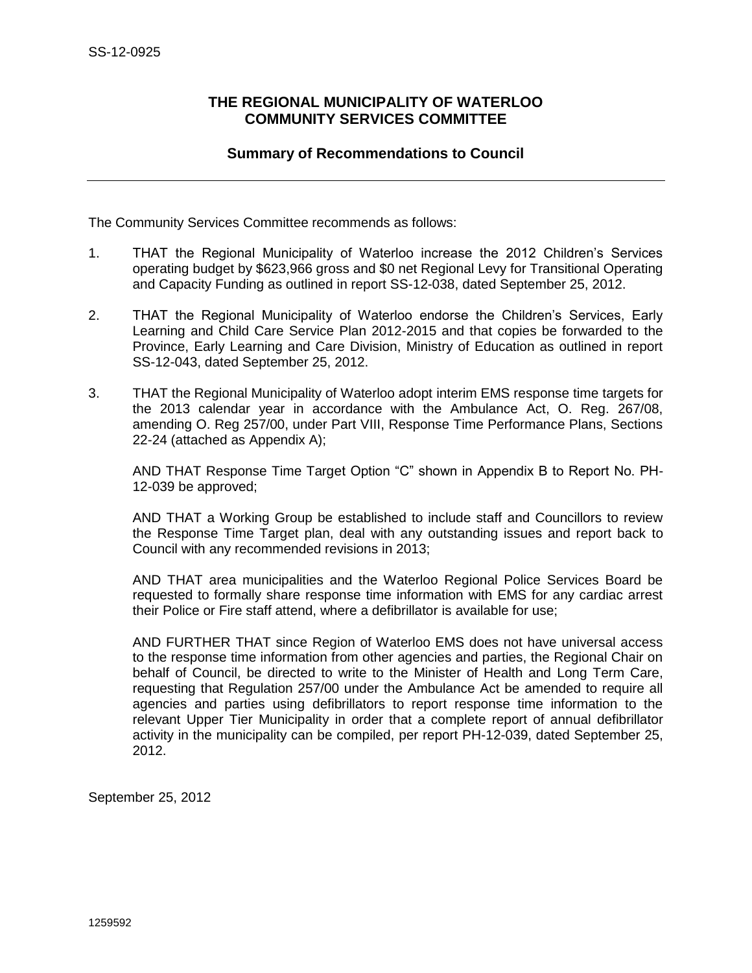## <span id="page-9-0"></span>**THE REGIONAL MUNICIPALITY OF WATERLOO COMMUNITY SERVICES COMMITTEE**

## **Summary of Recommendations to Council**

The Community Services Committee recommends as follows:

- 1. THAT the Regional Municipality of Waterloo increase the 2012 Children's Services operating budget by \$623,966 gross and \$0 net Regional Levy for Transitional Operating and Capacity Funding as outlined in report SS-12-038, dated September 25, 2012.
- 2. THAT the Regional Municipality of Waterloo endorse the Children's Services, Early Learning and Child Care Service Plan 2012-2015 and that copies be forwarded to the Province, Early Learning and Care Division, Ministry of Education as outlined in report SS-12-043, dated September 25, 2012.
- 3. THAT the Regional Municipality of Waterloo adopt interim EMS response time targets for the 2013 calendar year in accordance with the Ambulance Act, O. Reg. 267/08, amending O. Reg 257/00, under Part VIII, Response Time Performance Plans, Sections 22-24 (attached as Appendix A);

AND THAT Response Time Target Option "C" shown in Appendix B to Report No. PH-12-039 be approved;

AND THAT a Working Group be established to include staff and Councillors to review the Response Time Target plan, deal with any outstanding issues and report back to Council with any recommended revisions in 2013;

AND THAT area municipalities and the Waterloo Regional Police Services Board be requested to formally share response time information with EMS for any cardiac arrest their Police or Fire staff attend, where a defibrillator is available for use;

AND FURTHER THAT since Region of Waterloo EMS does not have universal access to the response time information from other agencies and parties, the Regional Chair on behalf of Council, be directed to write to the Minister of Health and Long Term Care, requesting that Regulation 257/00 under the Ambulance Act be amended to require all agencies and parties using defibrillators to report response time information to the relevant Upper Tier Municipality in order that a complete report of annual defibrillator activity in the municipality can be compiled, per report PH-12-039, dated September 25, 2012.

September 25, 2012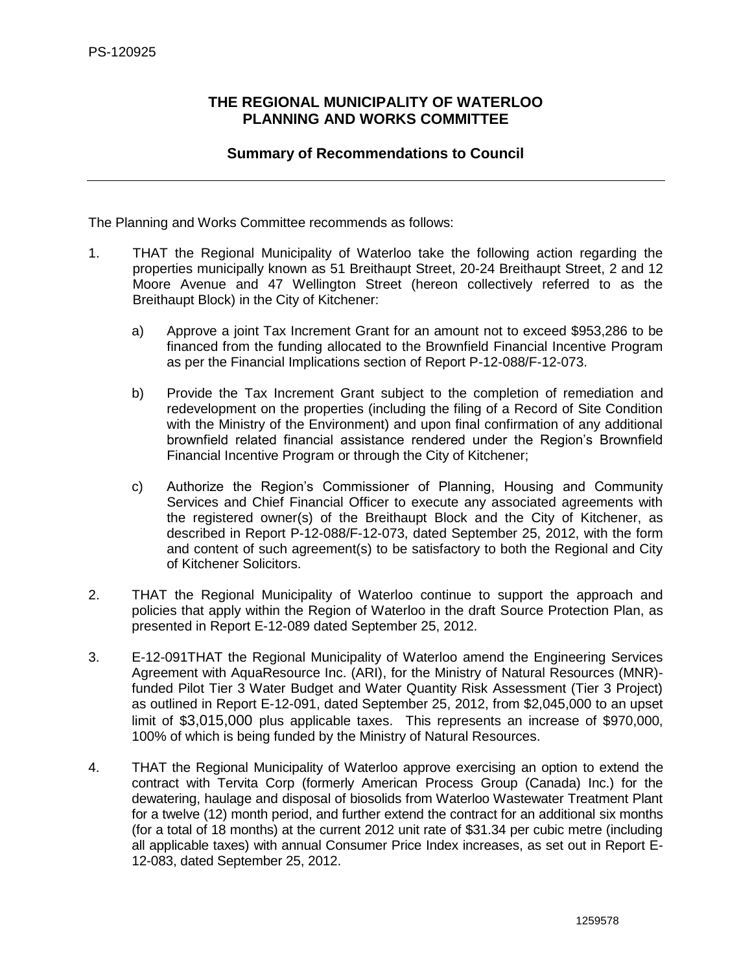## <span id="page-10-0"></span>**THE REGIONAL MUNICIPALITY OF WATERLOO PLANNING AND WORKS COMMITTEE**

## **Summary of Recommendations to Council**

The Planning and Works Committee recommends as follows:

- 1. THAT the Regional Municipality of Waterloo take the following action regarding the properties municipally known as 51 Breithaupt Street, 20-24 Breithaupt Street, 2 and 12 Moore Avenue and 47 Wellington Street (hereon collectively referred to as the Breithaupt Block) in the City of Kitchener:
	- a) Approve a joint Tax Increment Grant for an amount not to exceed \$953,286 to be financed from the funding allocated to the Brownfield Financial Incentive Program as per the Financial Implications section of Report P-12-088/F-12-073.
	- b) Provide the Tax Increment Grant subject to the completion of remediation and redevelopment on the properties (including the filing of a Record of Site Condition with the Ministry of the Environment) and upon final confirmation of any additional brownfield related financial assistance rendered under the Region's Brownfield Financial Incentive Program or through the City of Kitchener;
	- c) Authorize the Region's Commissioner of Planning, Housing and Community Services and Chief Financial Officer to execute any associated agreements with the registered owner(s) of the Breithaupt Block and the City of Kitchener, as described in Report P-12-088/F-12-073, dated September 25, 2012, with the form and content of such agreement(s) to be satisfactory to both the Regional and City of Kitchener Solicitors.
- 2. THAT the Regional Municipality of Waterloo continue to support the approach and policies that apply within the Region of Waterloo in the draft Source Protection Plan, as presented in Report E-12-089 dated September 25, 2012.
- 3. E-12-091THAT the Regional Municipality of Waterloo amend the Engineering Services Agreement with AquaResource Inc. (ARI), for the Ministry of Natural Resources (MNR) funded Pilot Tier 3 Water Budget and Water Quantity Risk Assessment (Tier 3 Project) as outlined in Report E-12-091, dated September 25, 2012, from \$2,045,000 to an upset limit of \$3,015,000 plus applicable taxes. This represents an increase of \$970,000, 100% of which is being funded by the Ministry of Natural Resources.
- 4. THAT the Regional Municipality of Waterloo approve exercising an option to extend the contract with Tervita Corp (formerly American Process Group (Canada) Inc.) for the dewatering, haulage and disposal of biosolids from Waterloo Wastewater Treatment Plant for a twelve (12) month period, and further extend the contract for an additional six months (for a total of 18 months) at the current 2012 unit rate of \$31.34 per cubic metre (including all applicable taxes) with annual Consumer Price Index increases, as set out in Report E-12-083, dated September 25, 2012.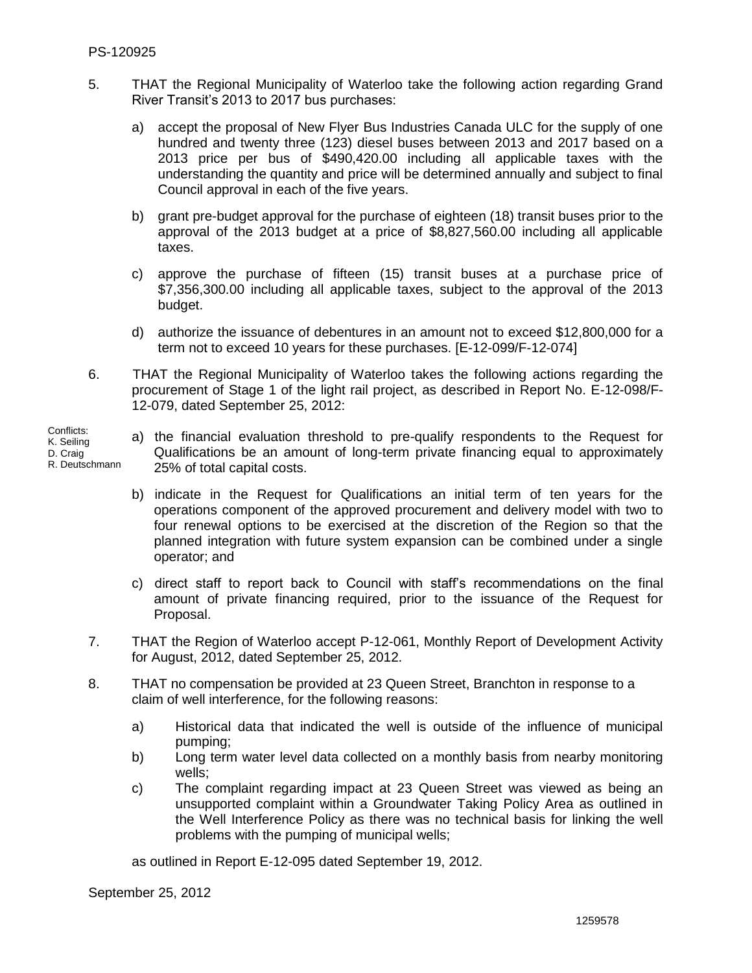Conflicts: K. Seiling D. Craig

- 5. THAT the Regional Municipality of Waterloo take the following action regarding Grand River Transit's 2013 to 2017 bus purchases:
	- a) accept the proposal of New Flyer Bus Industries Canada ULC for the supply of one hundred and twenty three (123) diesel buses between 2013 and 2017 based on a 2013 price per bus of \$490,420.00 including all applicable taxes with the understanding the quantity and price will be determined annually and subject to final Council approval in each of the five years.
	- b) grant pre-budget approval for the purchase of eighteen (18) transit buses prior to the approval of the 2013 budget at a price of \$8,827,560.00 including all applicable taxes.
	- c) approve the purchase of fifteen (15) transit buses at a purchase price of \$7,356,300.00 including all applicable taxes, subject to the approval of the 2013 budget.
	- d) authorize the issuance of debentures in an amount not to exceed \$12,800,000 for a term not to exceed 10 years for these purchases. [E-12-099/F-12-074]
- 6. THAT the Regional Municipality of Waterloo takes the following actions regarding the procurement of Stage 1 of the light rail project, as described in Report No. E-12-098/F-12-079, dated September 25, 2012:
- a) the financial evaluation threshold to pre-qualify respondents to the Request for Qualifications be an amount of long-term private financing equal to approximately 25% of total capital costs. R. Deutschmann
	- b) indicate in the Request for Qualifications an initial term of ten years for the operations component of the approved procurement and delivery model with two to four renewal options to be exercised at the discretion of the Region so that the planned integration with future system expansion can be combined under a single operator; and
	- c) direct staff to report back to Council with staff's recommendations on the final amount of private financing required, prior to the issuance of the Request for Proposal.
	- 7. THAT the Region of Waterloo accept P-12-061, Monthly Report of Development Activity for August, 2012, dated September 25, 2012.
	- 8. THAT no compensation be provided at 23 Queen Street, Branchton in response to a claim of well interference, for the following reasons:
		- a) Historical data that indicated the well is outside of the influence of municipal pumping;
		- b) Long term water level data collected on a monthly basis from nearby monitoring wells;
		- c) The complaint regarding impact at 23 Queen Street was viewed as being an unsupported complaint within a Groundwater Taking Policy Area as outlined in the Well Interference Policy as there was no technical basis for linking the well problems with the pumping of municipal wells;

as outlined in Report E-12-095 dated September 19, 2012.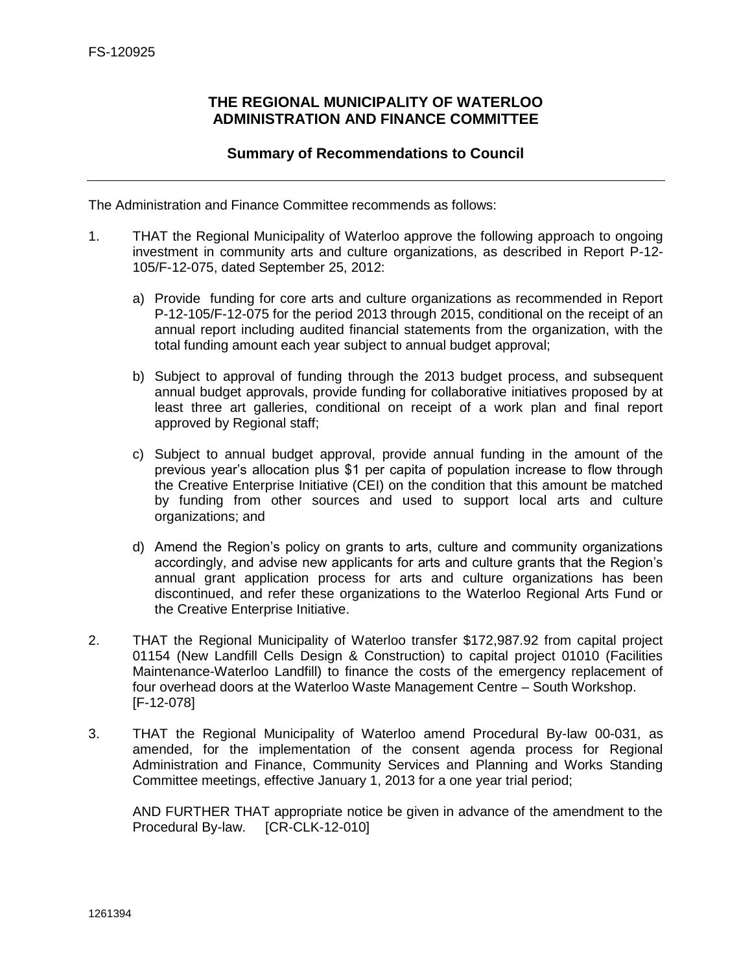## **THE REGIONAL MUNICIPALITY OF WATERLOO ADMINISTRATION AND FINANCE COMMITTEE**

## **Summary of Recommendations to Council**

<span id="page-12-0"></span>The Administration and Finance Committee recommends as follows:

- 1. THAT the Regional Municipality of Waterloo approve the following approach to ongoing investment in community arts and culture organizations, as described in Report P-12- 105/F-12-075, dated September 25, 2012:
	- a) Provide funding for core arts and culture organizations as recommended in Report P-12-105/F-12-075 for the period 2013 through 2015, conditional on the receipt of an annual report including audited financial statements from the organization, with the total funding amount each year subject to annual budget approval;
	- b) Subject to approval of funding through the 2013 budget process, and subsequent annual budget approvals, provide funding for collaborative initiatives proposed by at least three art galleries, conditional on receipt of a work plan and final report approved by Regional staff;
	- c) Subject to annual budget approval, provide annual funding in the amount of the previous year's allocation plus \$1 per capita of population increase to flow through the Creative Enterprise Initiative (CEI) on the condition that this amount be matched by funding from other sources and used to support local arts and culture organizations; and
	- d) Amend the Region's policy on grants to arts, culture and community organizations accordingly, and advise new applicants for arts and culture grants that the Region's annual grant application process for arts and culture organizations has been discontinued, and refer these organizations to the Waterloo Regional Arts Fund or the Creative Enterprise Initiative.
- 2. THAT the Regional Municipality of Waterloo transfer \$172,987.92 from capital project 01154 (New Landfill Cells Design & Construction) to capital project 01010 (Facilities Maintenance-Waterloo Landfill) to finance the costs of the emergency replacement of four overhead doors at the Waterloo Waste Management Centre – South Workshop. [F-12-078]
- 3. THAT the Regional Municipality of Waterloo amend Procedural By-law 00-031, as amended, for the implementation of the consent agenda process for Regional Administration and Finance, Community Services and Planning and Works Standing Committee meetings, effective January 1, 2013 for a one year trial period;

AND FURTHER THAT appropriate notice be given in advance of the amendment to the Procedural By-law. [CR-CLK-12-010]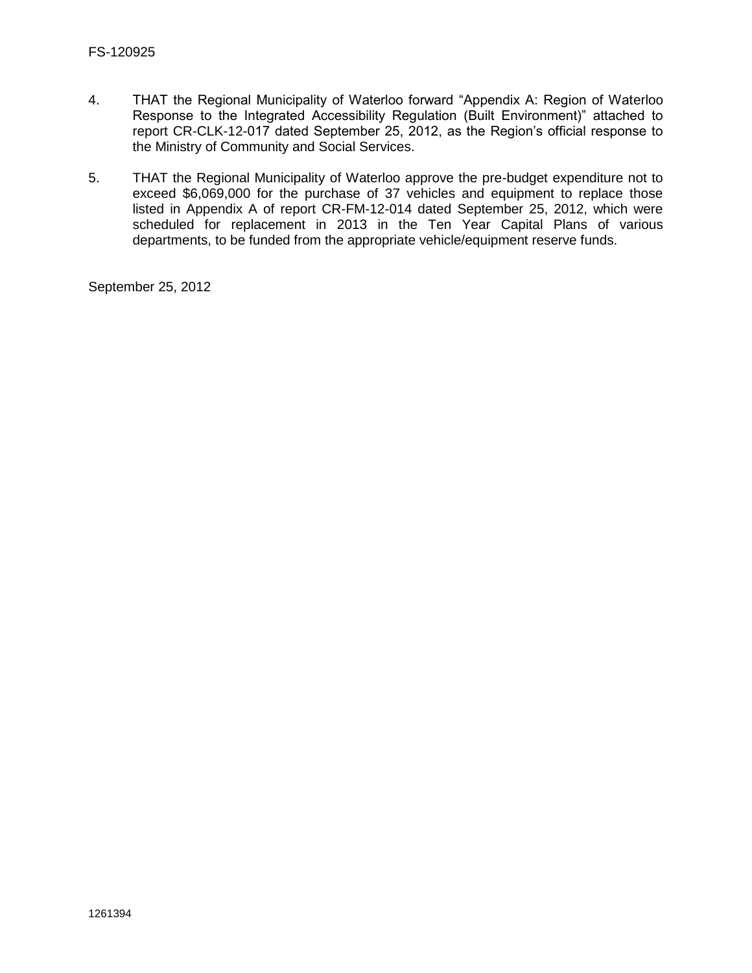- 4. THAT the Regional Municipality of Waterloo forward "Appendix A: Region of Waterloo Response to the Integrated Accessibility Regulation (Built Environment)" attached to report CR-CLK-12-017 dated September 25, 2012, as the Region's official response to the Ministry of Community and Social Services.
- 5. THAT the Regional Municipality of Waterloo approve the pre-budget expenditure not to exceed \$6,069,000 for the purchase of 37 vehicles and equipment to replace those listed in Appendix A of report CR-FM-12-014 dated September 25, 2012, which were scheduled for replacement in 2013 in the Ten Year Capital Plans of various departments, to be funded from the appropriate vehicle/equipment reserve funds.

September 25, 2012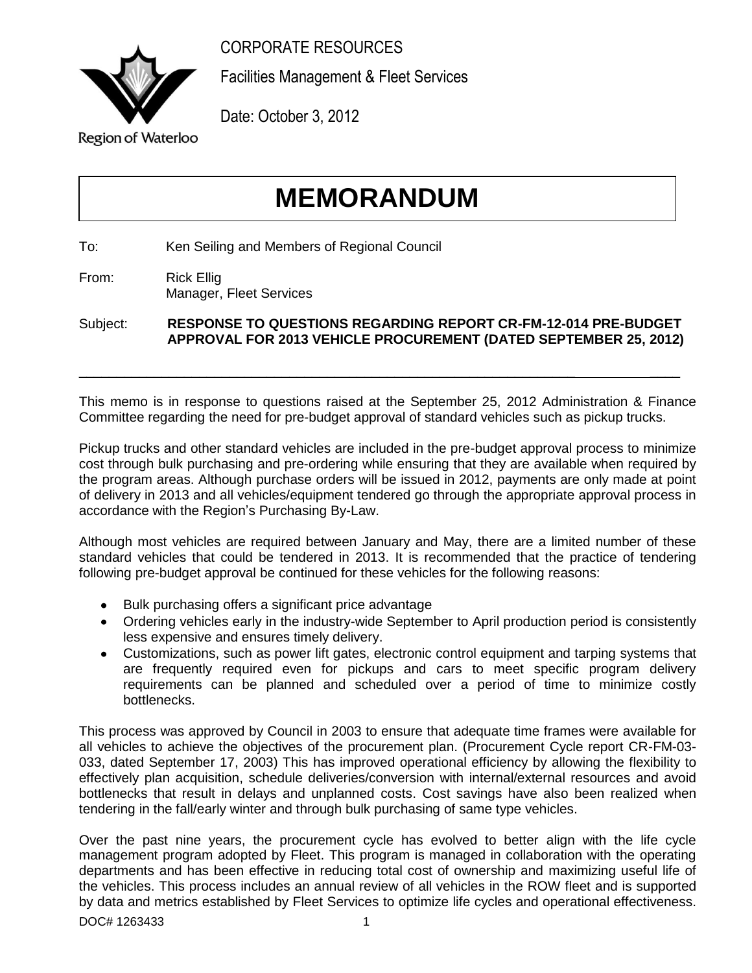CORPORATE RESOURCES

<span id="page-14-0"></span>

Facilities Management & Fleet Services

Date: October 3, 2012

## **Region of Waterloo**

# **MEMORANDUM**

To: Ken Seiling and Members of Regional Council

From: Rick Ellig Manager, Fleet Services

Subject: **RESPONSE TO QUESTIONS REGARDING REPORT CR-FM-12-014 PRE-BUDGET APPROVAL FOR 2013 VEHICLE PROCUREMENT (DATED SEPTEMBER 25, 2012)**

 $\_$  , and the set of the set of the set of the set of the set of the set of the set of the set of the set of the set of the set of the set of the set of the set of the set of the set of the set of the set of the set of th

This memo is in response to questions raised at the September 25, 2012 Administration & Finance Committee regarding the need for pre-budget approval of standard vehicles such as pickup trucks.

Pickup trucks and other standard vehicles are included in the pre-budget approval process to minimize cost through bulk purchasing and pre-ordering while ensuring that they are available when required by the program areas. Although purchase orders will be issued in 2012, payments are only made at point of delivery in 2013 and all vehicles/equipment tendered go through the appropriate approval process in accordance with the Region's Purchasing By-Law.

Although most vehicles are required between January and May, there are a limited number of these standard vehicles that could be tendered in 2013. It is recommended that the practice of tendering following pre-budget approval be continued for these vehicles for the following reasons:

- Bulk purchasing offers a significant price advantage
- Ordering vehicles early in the industry-wide September to April production period is consistently less expensive and ensures timely delivery.
- Customizations, such as power lift gates, electronic control equipment and tarping systems that are frequently required even for pickups and cars to meet specific program delivery requirements can be planned and scheduled over a period of time to minimize costly bottlenecks.

This process was approved by Council in 2003 to ensure that adequate time frames were available for all vehicles to achieve the objectives of the procurement plan. (Procurement Cycle report CR-FM-03- 033, dated September 17, 2003) This has improved operational efficiency by allowing the flexibility to effectively plan acquisition, schedule deliveries/conversion with internal/external resources and avoid bottlenecks that result in delays and unplanned costs. Cost savings have also been realized when tendering in the fall/early winter and through bulk purchasing of same type vehicles.

Over the past nine years, the procurement cycle has evolved to better align with the life cycle management program adopted by Fleet. This program is managed in collaboration with the operating departments and has been effective in reducing total cost of ownership and maximizing useful life of the vehicles. This process includes an annual review of all vehicles in the ROW fleet and is supported by data and metrics established by Fleet Services to optimize life cycles and operational effectiveness.